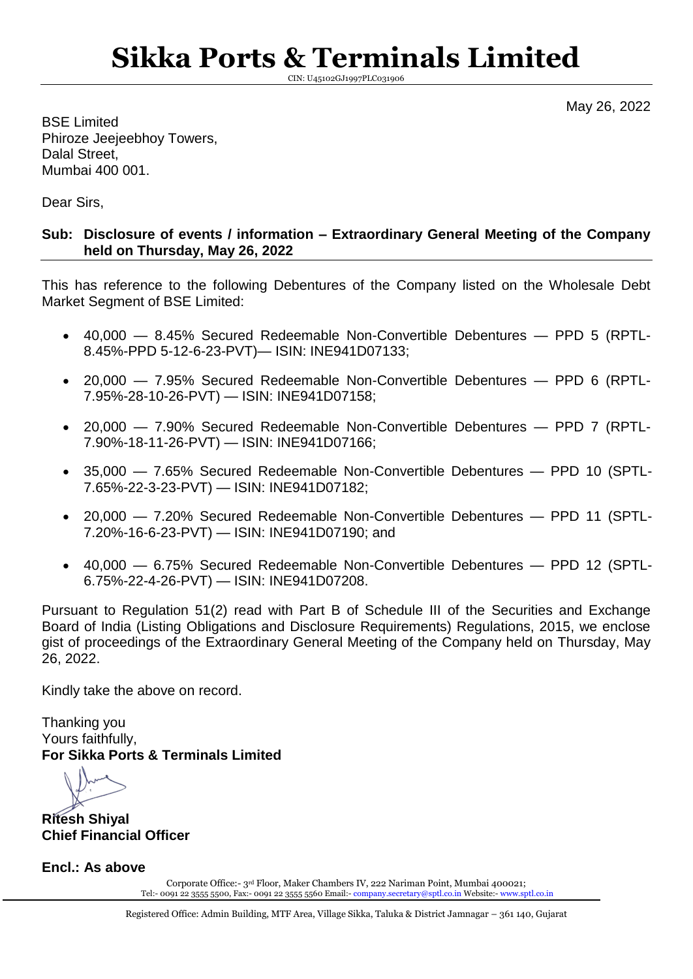# **Sikka Ports & Terminals Limited**

CIN: U45102GJ1997PLC031906

May 26, 2022

BSE Limited Phiroze Jeejeebhoy Towers, Dalal Street, Mumbai 400 001.

Dear Sirs,

### **Sub: Disclosure of events / information – Extraordinary General Meeting of the Company held on Thursday, May 26, 2022**

This has reference to the following Debentures of the Company listed on the Wholesale Debt Market Segment of BSE Limited:

- 40,000 8.45% Secured Redeemable Non-Convertible Debentures PPD 5 (RPTL-8.45%-PPD 5-12-6-23-PVT)— ISIN: INE941D07133;
- 20,000 7.95% Secured Redeemable Non-Convertible Debentures PPD 6 (RPTL-7.95%-28-10-26-PVT) — ISIN: INE941D07158;
- 20,000 7.90% Secured Redeemable Non-Convertible Debentures PPD 7 (RPTL-7.90%-18-11-26-PVT) — ISIN: INE941D07166;
- 35,000 7.65% Secured Redeemable Non-Convertible Debentures PPD 10 (SPTL-7.65%-22-3-23-PVT) — ISIN: INE941D07182;
- 20,000 7.20% Secured Redeemable Non-Convertible Debentures PPD 11 (SPTL-7.20%-16-6-23-PVT) — ISIN: INE941D07190; and
- 40,000 6.75% Secured Redeemable Non-Convertible Debentures PPD 12 (SPTL-6.75%-22-4-26-PVT) — ISIN: INE941D07208.

Pursuant to Regulation 51(2) read with Part B of Schedule III of the Securities and Exchange Board of India (Listing Obligations and Disclosure Requirements) Regulations, 2015, we enclose gist of proceedings of the Extraordinary General Meeting of the Company held on Thursday, May 26, 2022.

Kindly take the above on record.

Thanking you Yours faithfully, **For Sikka Ports & Terminals Limited**

**Ritesh Shiyal Chief Financial Officer**

**Encl.: As above**

Corporate Office:- 3rd Floor, Maker Chambers IV, 222 Nariman Point, Mumbai 400021; Tel:- 0091 22 3555 5500, Fax:- 0091 22 3555 5560 Email:- [company.secretary@sptl.co.in](mailto:company.secretary@sptl.co.in) Website:- [www.sptl.co.in](http://www.sptl.co.in/)